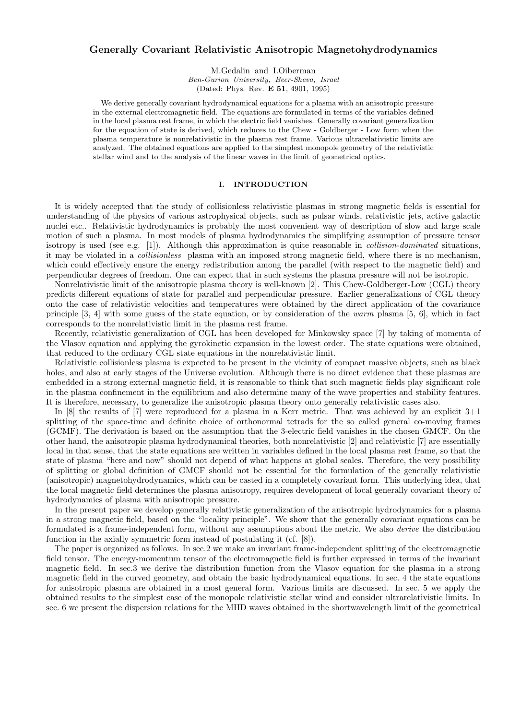# Generally Covariant Relativistic Anisotropic Magnetohydrodynamics

M.Gedalin and I.Oiberman Ben-Gurion University, Beer-Sheva, Israel (Dated: Phys. Rev. E 51, 4901, 1995)

We derive generally covariant hydrodynamical equations for a plasma with an anisotropic pressure in the external electromagnetic field. The equations are formulated in terms of the variables defined in the local plasma rest frame, in which the electric field vanishes. Generally covariant generalization for the equation of state is derived, which reduces to the Chew - Goldberger - Low form when the plasma temperature is nonrelativistic in the plasma rest frame. Various ultrarelativistic limits are analyzed. The obtained equations are applied to the simplest monopole geometry of the relativistic stellar wind and to the analysis of the linear waves in the limit of geometrical optics.

### I. INTRODUCTION

It is widely accepted that the study of collisionless relativistic plasmas in strong magnetic fields is essential for understanding of the physics of various astrophysical objects, such as pulsar winds, relativistic jets, active galactic nuclei etc.. Relativistic hydrodynamics is probably the most convenient way of description of slow and large scale motion of such a plasma. In most models of plasma hydrodynamics the simplifying assumption of pressure tensor isotropy is used (see e.g. [1]). Although this approximation is quite reasonable in *collision-dominated* situations, it may be violated in a collisionless plasma with an imposed strong magnetic field, where there is no mechanism, which could effectively ensure the energy redistribution among the parallel (with respect to the magnetic field) and perpendicular degrees of freedom. One can expect that in such systems the plasma pressure will not be isotropic.

Nonrelativistic limit of the anisotropic plasma theory is well-known [2]. This Chew-Goldberger-Low (CGL) theory predicts different equations of state for parallel and perpendicular pressure. Earlier generalizations of CGL theory onto the case of relativistic velocities and temperatures were obtained by the direct application of the covariance principle [3, 4] with some guess of the state equation, or by consideration of the warm plasma [5, 6], which in fact corresponds to the nonrelativistic limit in the plasma rest frame.

Recently, relativistic generalization of CGL has been developed for Minkowsky space [7] by taking of momenta of the Vlasov equation and applying the gyrokinetic expansion in the lowest order. The state equations were obtained, that reduced to the ordinary CGL state equations in the nonrelativistic limit.

Relativistic collisionless plasma is expected to be present in the vicinity of compact massive objects, such as black holes, and also at early stages of the Universe evolution. Although there is no direct evidence that these plasmas are embedded in a strong external magnetic field, it is reasonable to think that such magnetic fields play significant role in the plasma confinement in the equilibrium and also determine many of the wave properties and stability features. It is therefore, necessary, to generalize the anisotropic plasma theory onto generally relativistic cases also.

In [8] the results of [7] were reproduced for a plasma in a Kerr metric. That was achieved by an explicit 3+1 splitting of the space-time and definite choice of orthonormal tetrads for the so called general co-moving frames (GCMF). The derivation is based on the assumption that the 3-electric field vanishes in the chosen GMCF. On the other hand, the anisotropic plasma hydrodynamical theories, both nonrelativistic [2] and relativistic [7] are essentially local in that sense, that the state equations are written in variables defined in the local plasma rest frame, so that the state of plasma "here and now" should not depend of what happens at global scales. Therefore, the very possibility of splitting or global definition of GMCF should not be essential for the formulation of the generally relativistic (anisotropic) magnetohydrodynamics, which can be casted in a completely covariant form. This underlying idea, that the local magnetic field determines the plasma anisotropy, requires development of local generally covariant theory of hydrodynamics of plasma with anisotropic pressure.

In the present paper we develop generally relativistic generalization of the anisotropic hydrodynamics for a plasma in a strong magnetic field, based on the "locality principle". We show that the generally covariant equations can be formulated is a frame-independent form, without any assumptions about the metric. We also derive the distribution function in the axially symmetric form instead of postulating it (cf. [8]).

The paper is organized as follows. In sec.2 we make an invariant frame-independent splitting of the electromagnetic field tensor. The energy-momentum tensor of the electromagnetic field is further expressed in terms of the invariant magnetic field. In sec.3 we derive the distribution function from the Vlasov equation for the plasma in a strong magnetic field in the curved geometry, and obtain the basic hydrodynamical equations. In sec. 4 the state equations for anisotropic plasma are obtained in a most general form. Various limits are discussed. In sec. 5 we apply the obtained results to the simplest case of the monopole relativistic stellar wind and consider ultrarelativistic limits. In sec. 6 we present the dispersion relations for the MHD waves obtained in the shortwavelength limit of the geometrical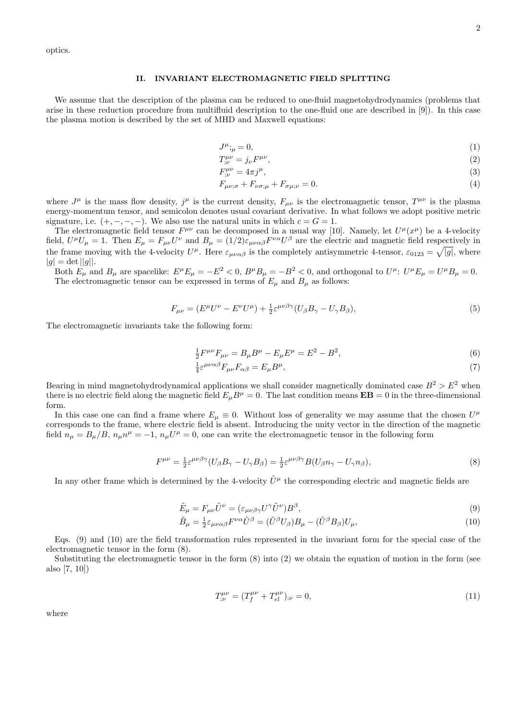optics.

#### II. INVARIANT ELECTROMAGNETIC FIELD SPLITTING

We assume that the description of the plasma can be reduced to one-fluid magnetohydrodynamics (problems that arise in these reduction procedure from multifluid description to the one-fluid one are described in [9]). In this case the plasma motion is described by the set of MHD and Maxwell equations:

$$
J^{\mu};_{\mu} = 0,\tag{1}
$$

$$
T^{\mu\nu}_{;\nu} = j_{\nu}F^{\mu\nu},\tag{2}
$$

$$
F^{\mu\nu}_{;\nu} = 4\pi j^{\mu},\tag{3}
$$

$$
F_{\mu\nu;\sigma} + F_{\nu\sigma;\mu} + F_{\sigma\mu;\nu} = 0. \tag{4}
$$

where  $J^{\mu}$  is the mass flow density,  $j^{\mu}$  is the current density,  $F_{\mu\nu}$  is the electromagnetic tensor,  $T^{\mu\nu}$  is the plasma energy-momentum tensor, and semicolon denotes usual covariant derivative. In what follows we adopt positive metric signature, i.e.  $(+, -, -, -)$ . We also use the natural units in which  $c = G = 1$ .

The electromagnetic field tensor  $F^{\mu\nu}$  can be decomposed in a usual way [10]. Namely, let  $U^{\mu}(x^{\mu})$  be a 4-velocity field,  $U^{\mu}U_{\mu} = 1$ . Then  $E_{\mu} = F_{\mu\nu}U^{\nu}$  and  $B_{\mu} = (1/2)\varepsilon_{\mu\nu\alpha\beta}F^{\nu\alpha}U^{\beta}$  are the electric and magnetic field respectively in the frame moving with the 4-velocity  $U^{\mu}$ . Here  $\varepsilon_{\mu\nu\alpha\beta}$  is the completely antisymmetric 4-tensor,  $\varepsilon_{0123} = \sqrt{|g|}$ , where  $|g| = \det ||g||.$ 

Both  $E_{\mu}$  and  $B_{\mu}$  are spacelike:  $E^{\mu}E_{\mu} = -E^2 < 0$ ,  $B^{\mu}B_{\mu} = -B^2 < 0$ , and orthogonal to  $U^{\mu}$ :  $U^{\mu}E_{\mu} = U^{\mu}B_{\mu} = 0$ . The electromagnetic tensor can be expressed in terms of  $E_{\mu}$  and  $B_{\mu}$  as follows:

$$
F_{\mu\nu} = (E^{\mu}U^{\nu} - E^{\nu}U^{\mu}) + \frac{1}{2}\varepsilon^{\mu\nu\beta\gamma}(U_{\beta}B_{\gamma} - U_{\gamma}B_{\beta}),\tag{5}
$$

The electromagnetic invariants take the following form:

$$
\frac{1}{2}F^{\mu\nu}F_{\mu\nu} = B_{\mu}B^{\mu} - E_{\mu}E^{\mu} = E^2 - B^2,
$$
\n(6)

$$
\frac{1}{4}\varepsilon^{\mu\nu\alpha\beta}F_{\mu\nu}F_{\alpha\beta} = E_{\mu}B^{\mu},\tag{7}
$$

Bearing in mind magnetohydrodynamical applications we shall consider magnetically dominated case  $B^2 > E^2$  when there is no electric field along the magnetic field  $E_{\mu}B^{\mu} = 0$ . The last condition means  $\mathbf{EB} = 0$  in the three-dimensional form.

In this case one can find a frame where  $E_{\mu} \equiv 0$ . Without loss of generality we may assume that the chosen  $U^{\mu}$ corresponds to the frame, where electric field is absent. Introducing the unity vector in the direction of the magnetic field  $n_{\mu} = B_{\mu}/B$ ,  $n_{\mu}n^{\mu} = -1$ ,  $n_{\mu}U^{\mu} = 0$ , one can write the electromagnetic tensor in the following form

$$
F^{\mu\nu} = \frac{1}{2} \varepsilon^{\mu\nu\beta\gamma} (U_{\beta} B_{\gamma} - U_{\gamma} B_{\beta}) = \frac{1}{2} \varepsilon^{\mu\nu\beta\gamma} B (U_{\beta} n_{\gamma} - U_{\gamma} n_{\beta}),
$$
\n(8)

In any other frame which is determined by the 4-velocity  $\tilde{U}^{\mu}$  the corresponding electric and magnetic fields are

$$
\tilde{E}_{\mu} = F_{\mu\nu}\tilde{U}^{\nu} = (\varepsilon_{\mu\nu\beta\gamma}U^{\gamma}\tilde{U}^{\nu})B^{\beta},\tag{9}
$$

$$
\tilde{B}_{\mu} = \frac{1}{2} \varepsilon_{\mu\nu\alpha\beta} F^{\nu\alpha} \tilde{U}^{\beta} = (\tilde{U}^{\beta} U_{\beta}) B_{\mu} - (\tilde{U}^{\beta} B_{\beta}) U_{\mu}, \tag{10}
$$

Eqs. (9) and (10) are the field transformation rules represented in the invariant form for the special case of the electromagnetic tensor in the form (8).

Substituting the electromagnetic tensor in the form  $(8)$  into  $(2)$  we obtain the equation of motion in the form (see also [7, 10])

$$
T^{\mu\nu}_{;\nu} = (T^{\mu\nu}_f + T^{\mu\nu}_{el})_{;\nu} = 0,\tag{11}
$$

where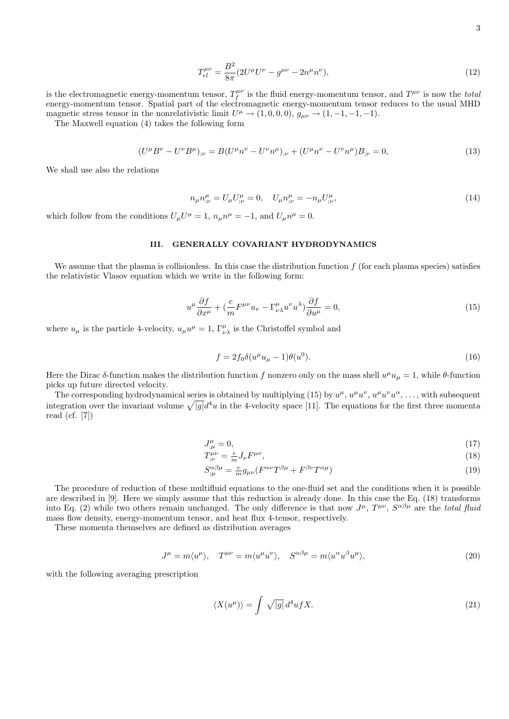$$
T_{el}^{\mu\nu} = \frac{B^2}{8\pi} (2U^{\mu}U^{\nu} - g^{\mu\nu} - 2n^{\mu}n^{\nu}), \tag{12}
$$

is the electromagnetic energy-momentum tensor,  $T_f^{\mu\nu}$  is the fluid energy-momentum tensor, and  $T^{\mu\nu}$  is now the total energy-momentum tensor. Spatial part of the electromagnetic energy-momentum tensor reduces to the usual MHD magnetic stress tensor in the nonrelativistic limit  $U^{\mu} \to (1,0,0,0), g_{\mu\nu} \to (1,-1,-1,-1)$ .

The Maxwell equation (4) takes the following form

$$
(U^{\mu}B^{\nu} - U^{\nu}B^{\mu})_{;\nu} = B(U^{\mu}n^{\nu} - U^{\nu}n^{\mu})_{;\nu} + (U^{\mu}n^{\nu} - U^{\nu}n^{\mu})B_{;\nu} = 0,
$$
\n(13)

We shall use also the relations

$$
n_{\mu}n^{\mu}_{;\nu} = U_{\mu}U^{\mu}_{;\nu} = 0, \quad U_{\mu}n^{\mu}_{;\nu} = -n_{\mu}U^{\mu}_{;\nu}, \tag{14}
$$

which follow from the conditions  $U_{\mu}U^{\mu} = 1$ ,  $n_{\mu}n^{\mu} = -1$ , and  $U_{\mu}n^{\mu} = 0$ .

### III. GENERALLY COVARIANT HYDRODYNAMICS

We assume that the plasma is collisionless. In this case the distribution function  $f$  (for each plasma species) satisfies the relativistic Vlasov equation which we write in the following form:

$$
u^{\mu}\frac{\partial f}{\partial x^{\mu}} + \left(\frac{e}{m}F^{\mu\nu}u_{\nu} - \Gamma^{\mu}_{\nu\lambda}u^{\nu}u^{\lambda}\right)\frac{\partial f}{\partial u^{\mu}} = 0,
$$
\n(15)

where  $u_{\mu}$  is the particle 4-velocity,  $u_{\mu}u^{\mu} = 1$ ,  $\Gamma^{\mu}_{\nu\lambda}$  is the Christoffel symbol and

$$
f = 2f_0 \delta(u^{\mu} u_{\mu} - 1)\theta(u^0). \tag{16}
$$

Here the Dirac δ-function makes the distribution function f nonzero only on the mass shell  $u^{\mu}u_{\mu} = 1$ , while  $\theta$ -function picks up future directed velocity.

The corresponding hydrodynamical series is obtained by multiplying (15) by  $u^{\mu}$ ,  $u^{\mu}u^{\nu}$ ,  $u^{\mu}u^{\nu}u^{\alpha}$ , ..., with subsequent integration over the invariant volume  $\sqrt{|g|}d^4u$  in the 4-velocity space [11]. The equations for the first three momenta read (cf. [7])

$$
J^{\mu}_{;\mu} = 0,\tag{17}
$$

$$
T^{\mu\nu}_{;\nu} = \frac{e}{m} J_{\nu} F^{\mu\nu},\tag{18}
$$

$$
S^{\alpha\beta\mu}_{;\mu} = \frac{e}{m} g_{\mu\nu} (F^{\alpha\nu} T^{\beta\mu} + F^{\beta\nu} T^{\alpha\mu})
$$
\n(19)

The procedure of reduction of these multifluid equations to the one-fluid set and the conditions when it is possible are described in [9]. Here we simply assume that this reduction is already done. In this case the Eq. (18) transforms into Eq. (2) while two others remain unchanged. The only difference is that now  $J^{\mu}$ ,  $T^{\mu\nu}$ ,  $S^{\alpha\beta\mu}$  are the total fluid mass flow density, energy-momentum tensor, and heat flux 4-tensor, respectively.

These momenta themselves are defined as distribution averages

$$
J^{\mu} = m \langle u^{\mu} \rangle, \quad T^{\mu \nu} = m \langle u^{\mu} u^{\nu} \rangle, \quad S^{\alpha \beta \mu} = m \langle u^{\alpha} u^{\beta} u^{\mu} \rangle,
$$
\n(20)

with the following averaging prescription

$$
\langle X(u^{\mu})\rangle = \int \sqrt{|g|} \, d^4 u f X. \tag{21}
$$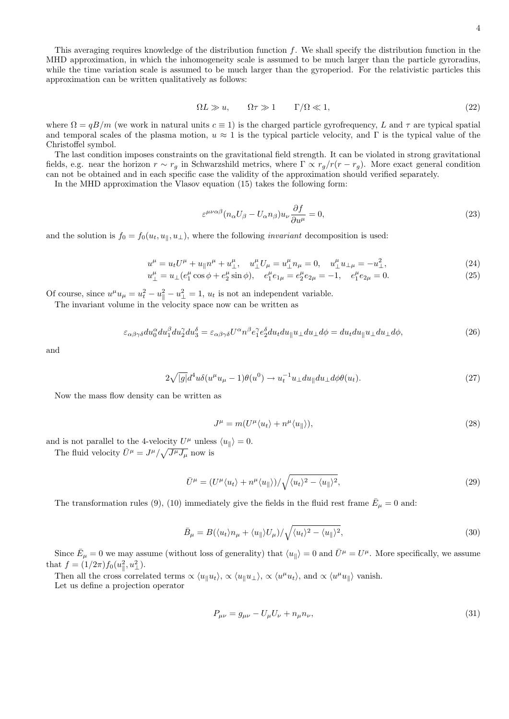This averaging requires knowledge of the distribution function  $f$ . We shall specify the distribution function in the MHD approximation, in which the inhomogeneity scale is assumed to be much larger than the particle gyroradius, while the time variation scale is assumed to be much larger than the gyroperiod. For the relativistic particles this approximation can be written qualitatively as follows:

$$
\Omega L \gg u, \qquad \Omega \tau \gg 1 \qquad \Gamma/\Omega \ll 1,\tag{22}
$$

where  $\Omega = qB/m$  (we work in natural units  $c \equiv 1$ ) is the charged particle gyrofrequency, L and  $\tau$  are typical spatial and temporal scales of the plasma motion,  $u \approx 1$  is the typical particle velocity, and Γ is the typical value of the Christoffel symbol.

The last condition imposes constraints on the gravitational field strength. It can be violated in strong gravitational fields, e.g. near the horizon  $r \sim r_g$  in Schwarzshild metrics, where  $\Gamma \propto r_g/r(r-r_g)$ . More exact general condition can not be obtained and in each specific case the validity of the approximation should verified separately.

In the MHD approximation the Vlasov equation (15) takes the following form:

$$
\varepsilon^{\mu\nu\alpha\beta}(n_{\alpha}U_{\beta} - U_{\alpha}n_{\beta})u_{\nu}\frac{\partial f}{\partial u^{\mu}} = 0,
$$
\n(23)

and the solution is  $f_0 = f_0(u_t, u_{\parallel}, u_{\perp})$ , where the following *invariant* decomposition is used:

$$
u^{\mu} = u_t U^{\mu} + u_{\parallel} n^{\mu} + u^{\mu}_{\perp}, \quad u^{\mu}_{\perp} U_{\mu} = u^{\mu}_{\perp} n_{\mu} = 0, \quad u^{\mu}_{\perp} u_{\perp \mu} = -u^2_{\perp}, \tag{24}
$$

$$
u_{\perp}^{\mu} = u_{\perp} (e_1^{\mu} \cos \phi + e_2^{\mu} \sin \phi), \quad e_1^{\mu} e_{1\mu} = e_2^{\mu} e_{2\mu} = -1, \quad e_1^{\mu} e_{2\mu} = 0.
$$
 (25)

Of course, since  $u^{\mu}u_{\mu} = u_t^2 - u_{\parallel}^2 - u_{\perp}^2 = 1$ ,  $u_t$  is not an independent variable.

The invariant volume in the velocity space now can be written as

$$
\varepsilon_{\alpha\beta\gamma\delta} du_0^{\alpha} du_1^{\beta} du_2^{\gamma} du_3^{\delta} = \varepsilon_{\alpha\beta\gamma\delta} U^{\alpha} n^{\beta} e_1^{\gamma} e_2^{\delta} du_t du_{\parallel} u_{\perp} du_{\perp} d\phi = du_t du_{\parallel} u_{\perp} du_{\perp} d\phi,
$$
\n(26)

and

$$
2\sqrt{|g|}d^4u\delta(u^{\mu}u_{\mu}-1)\theta(u^0)\to u_t^{-1}u_{\perp}du_{\parallel}du_{\perp}d\phi\theta(u_t).
$$
\n(27)

Now the mass flow density can be written as

$$
J^{\mu} = m(U^{\mu} \langle u_t \rangle + n^{\mu} \langle u_{\parallel} \rangle), \tag{28}
$$

and is not parallel to the 4-velocity  $U^{\mu}$  unless  $\langle u_{\parallel} \rangle = 0$ .

The fluid velocity  $\bar{U}^{\mu} = J^{\mu}/\sqrt{J^{\mu}J_{\mu}}$  now is

$$
\bar{U}^{\mu} = (U^{\mu} \langle u_t \rangle + n^{\mu} \langle u_{\parallel} \rangle) / \sqrt{\langle u_t \rangle^2 - \langle u_{\parallel} \rangle^2},\tag{29}
$$

The transformation rules (9), (10) immediately give the fields in the fluid rest frame  $\bar{E}_{\mu} = 0$  and:

$$
\bar{B}_{\mu} = B(\langle u_t \rangle n_{\mu} + \langle u_{\parallel} \rangle U_{\mu}) / \sqrt{\langle u_t \rangle^2 - \langle u_{\parallel} \rangle^2},\tag{30}
$$

Since  $\bar{E}_{\mu} = 0$  we may assume (without loss of generality) that  $\langle u_{\parallel} \rangle = 0$  and  $\bar{U}^{\mu} = U^{\mu}$ . More specifically, we assume that  $f = (1/2\pi) f_0(u_{\parallel}^2, u_{\perp}^2)$ .

Then all the cross correlated terms  $\propto \langle u_{\parallel} u_t \rangle$ ,  $\propto \langle u_{\parallel} u_{\perp} \rangle$ ,  $\propto \langle u^{\mu} u_t \rangle$ , and  $\propto \langle u^{\mu} u_{\parallel} \rangle$  vanish. Let us define a projection operator

$$
P_{\mu\nu} = g_{\mu\nu} - U_{\mu}U_{\nu} + n_{\mu}n_{\nu},\tag{31}
$$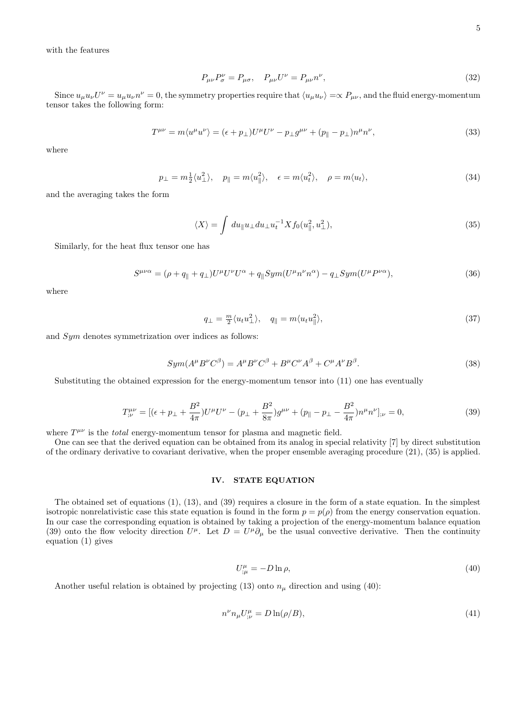with the features

$$
P_{\mu\nu}P^{\nu}_{\sigma} = P_{\mu\sigma}, \quad P_{\mu\nu}U^{\nu} = P_{\mu\nu}n^{\nu}, \tag{32}
$$

Since  $u_\mu u_\nu U^\nu = u_\mu u_\nu n^\nu = 0$ , the symmetry properties require that  $\langle u_\mu u_\nu \rangle = \propto P_{\mu\nu}$ , and the fluid energy-momentum tensor takes the following form:

$$
T^{\mu\nu} = m \langle u^{\mu} u^{\nu} \rangle = (\epsilon + p_{\perp}) U^{\mu} U^{\nu} - p_{\perp} g^{\mu\nu} + (p_{\parallel} - p_{\perp}) n^{\mu} n^{\nu}, \tag{33}
$$

where

$$
p_{\perp} = m_{2}^{1} \langle u_{\perp}^{2} \rangle, \quad p_{\parallel} = m \langle u_{\parallel}^{2} \rangle, \quad \epsilon = m \langle u_{t}^{2} \rangle, \quad \rho = m \langle u_{t} \rangle,
$$
\n(34)

and the averaging takes the form

$$
\langle X \rangle = \int du_{\parallel} u_{\perp} du_{\perp} u_t^{-1} X f_0(u_{\parallel}^2, u_{\perp}^2), \qquad (35)
$$

Similarly, for the heat flux tensor one has

$$
S^{\mu\nu\alpha} = (\rho + q_{\parallel} + q_{\perp}) U^{\mu} U^{\nu} U^{\alpha} + q_{\parallel} S y m (U^{\mu} n^{\nu} n^{\alpha}) - q_{\perp} S y m (U^{\mu} P^{\nu\alpha}), \tag{36}
$$

where

$$
q_{\perp} = \frac{m}{2} \langle u_t u_{\perp}^2 \rangle, \quad q_{\parallel} = m \langle u_t u_{\parallel}^2 \rangle,
$$
\n(37)

and Sym denotes symmetrization over indices as follows:

$$
Sym(A^{\mu}B^{\nu}C^{\beta}) = A^{\mu}B^{\nu}C^{\beta} + B^{\mu}C^{\nu}A^{\beta} + C^{\mu}A^{\nu}B^{\beta}.
$$
\n(38)

Substituting the obtained expression for the energy-momentum tensor into (11) one has eventually

$$
T^{\mu\nu}_{;\nu} = [(\epsilon + p_{\perp} + \frac{B^2}{4\pi})U^{\mu}U^{\nu} - (p_{\perp} + \frac{B^2}{8\pi})g^{\mu\nu} + (p_{\parallel} - p_{\perp} - \frac{B^2}{4\pi})n^{\mu}n^{\nu}]_{;\nu} = 0,
$$
\n(39)

where  $T^{\mu\nu}$  is the *total* energy-momentum tensor for plasma and magnetic field.

One can see that the derived equation can be obtained from its analog in special relativity [7] by direct substitution of the ordinary derivative to covariant derivative, when the proper ensemble averaging procedure (21), (35) is applied.

# IV. STATE EQUATION

The obtained set of equations (1), (13), and (39) requires a closure in the form of a state equation. In the simplest isotropic nonrelativistic case this state equation is found in the form  $p = p(\rho)$  from the energy conservation equation. In our case the corresponding equation is obtained by taking a projection of the energy-momentum balance equation (39) onto the flow velocity direction  $U^{\mu}$ . Let  $D = U^{\mu} \partial_{\mu}$  be the usual convective derivative. Then the continuity equation (1) gives

$$
U^{\mu}_{;\mu} = -D \ln \rho, \tag{40}
$$

Another useful relation is obtained by projecting (13) onto  $n<sub>\mu</sub>$  direction and using (40):

$$
n^{\nu}n_{\mu}U^{\mu}_{;\nu} = D\ln(\rho/B),\tag{41}
$$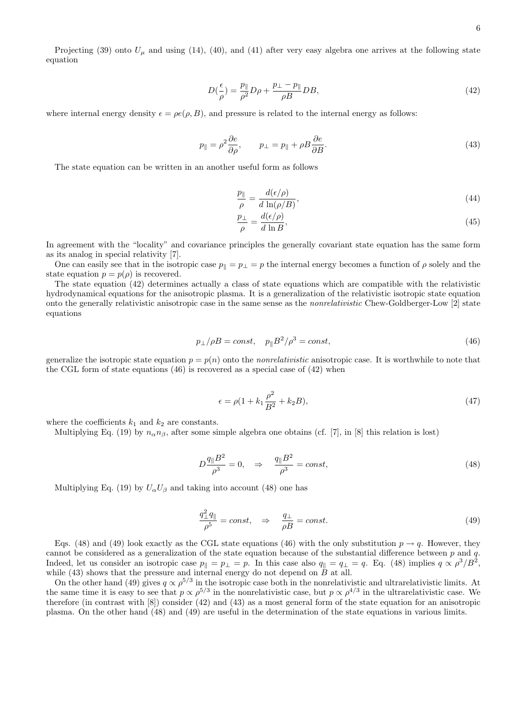Projecting (39) onto  $U_{\mu}$  and using (14), (40), and (41) after very easy algebra one arrives at the following state equation

$$
D\left(\frac{\epsilon}{\rho}\right) = \frac{p_{\parallel}}{\rho^2} D\rho + \frac{p_{\perp} - p_{\parallel}}{\rho B} DB,\tag{42}
$$

where internal energy density  $\epsilon = \rho e(\rho, B)$ , and pressure is related to the internal energy as follows:

$$
p_{\parallel} = \rho^2 \frac{\partial e}{\partial \rho}, \qquad p_{\perp} = p_{\parallel} + \rho B \frac{\partial e}{\partial B}.
$$
\n(43)

The state equation can be written in an another useful form as follows

$$
\frac{p_{\parallel}}{\rho} = \frac{d(\epsilon/\rho)}{d \ln(\rho/B)},\tag{44}
$$

$$
\frac{p_{\perp}}{\rho} = \frac{d(\epsilon/\rho)}{d \ln B},\tag{45}
$$

In agreement with the "locality" and covariance principles the generally covariant state equation has the same form as its analog in special relativity [7].

One can easily see that in the isotropic case  $p_{\parallel} = p_{\perp} = p$  the internal energy becomes a function of  $\rho$  solely and the state equation  $p = p(\rho)$  is recovered.

The state equation (42) determines actually a class of state equations which are compatible with the relativistic hydrodynamical equations for the anisotropic plasma. It is a generalization of the relativistic isotropic state equation onto the generally relativistic anisotropic case in the same sense as the nonrelativistic Chew-Goldberger-Low [2] state equations

$$
p_{\perp}/\rho B = const, \quad p_{\parallel}B^2/\rho^3 = const,
$$
\n<sup>(46)</sup>

generalize the isotropic state equation  $p = p(n)$  onto the *nonrelativistic* anisotropic case. It is worthwhile to note that the CGL form of state equations  $(46)$  is recovered as a special case of  $(42)$  when

$$
\epsilon = \rho(1 + k_1 \frac{\rho^2}{B^2} + k_2 B),\tag{47}
$$

where the coefficients  $k_1$  and  $k_2$  are constants.

Multiplying Eq. (19) by  $n_{\alpha}n_{\beta}$ , after some simple algebra one obtains (cf. [7], in [8] this relation is lost)

$$
D\frac{q_{\parallel}B^2}{\rho^3} = 0, \quad \Rightarrow \quad \frac{q_{\parallel}B^2}{\rho^3} = const,
$$
\n(48)

Multiplying Eq. (19) by  $U_{\alpha}U_{\beta}$  and taking into account (48) one has

$$
\frac{q_{\perp}^2 q_{\parallel}}{\rho^5} = const, \quad \Rightarrow \quad \frac{q_{\perp}}{\rho B} = const.
$$
\n(49)

Eqs. (48) and (49) look exactly as the CGL state equations (46) with the only substitution  $p \rightarrow q$ . However, they cannot be considered as a generalization of the state equation because of the substantial difference between p and q. Indeed, let us consider an isotropic case  $p_{\parallel} = p_{\perp} = p$ . In this case also  $q_{\parallel} = q_{\perp} = q$ . Eq. (48) implies  $q \propto \rho^3/B^2$ , while  $(43)$  shows that the pressure and internal energy do not depend on  $B$  at all.

On the other hand (49) gives  $q \propto \rho^{5/3}$  in the isotropic case both in the nonrelativistic and ultrarelativistic limits. At the same time it is easy to see that  $p \propto \rho^{5/3}$  in the nonrelativistic case, but  $p \propto \rho^{4/3}$  in the ultrarelativistic case. We therefore (in contrast with [8]) consider (42) and (43) as a most general form of the state equation for an anisotropic plasma. On the other hand (48) and (49) are useful in the determination of the state equations in various limits.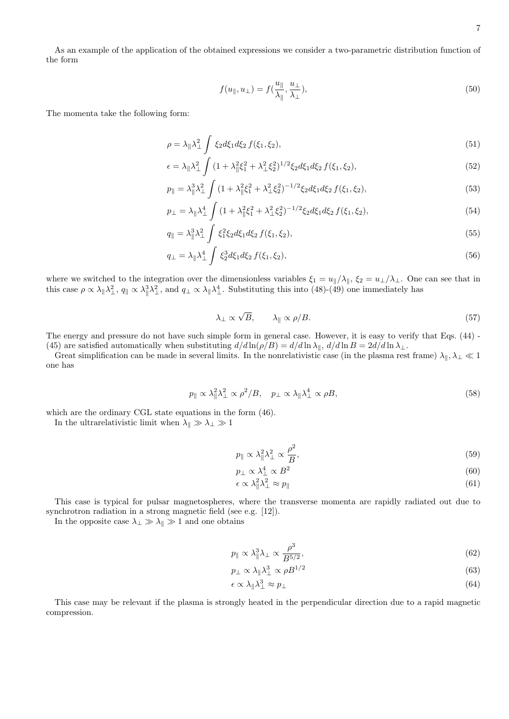As an example of the application of the obtained expressions we consider a two-parametric distribution function of the form

$$
f(u_{\parallel}, u_{\perp}) = f(\frac{u_{\parallel}}{\lambda_{\parallel}}, \frac{u_{\perp}}{\lambda_{\perp}}),
$$
\n(50)

The momenta take the following form:

$$
\rho = \lambda_{\parallel} \lambda_{\perp}^2 \int \xi_2 d\xi_1 d\xi_2 f(\xi_1, \xi_2), \qquad (51)
$$

$$
\epsilon = \lambda_{\parallel} \lambda_{\perp}^2 \int (1 + \lambda_{\parallel}^2 \xi_1^2 + \lambda_{\perp}^2 \xi_2^2)^{1/2} \xi_2 d\xi_1 d\xi_2 f(\xi_1, \xi_2), \tag{52}
$$

$$
p_{\parallel} = \lambda_{\parallel}^3 \lambda_{\perp}^2 \int (1 + \lambda_{\parallel}^2 \xi_1^2 + \lambda_{\perp}^2 \xi_2^2)^{-1/2} \xi_2 d\xi_1 d\xi_2 f(\xi_1, \xi_2), \tag{53}
$$

$$
p_{\perp} = \lambda_{\parallel} \lambda_{\perp}^4 \int (1 + \lambda_{\parallel}^2 \xi_1^2 + \lambda_{\perp}^2 \xi_2^2)^{-1/2} \xi_2 d\xi_1 d\xi_2 f(\xi_1, \xi_2), \tag{54}
$$

$$
q_{\parallel} = \lambda_{\parallel}^3 \lambda_{\perp}^2 \int \xi_1^2 \xi_2 d\xi_1 d\xi_2 f(\xi_1, \xi_2), \tag{55}
$$

$$
q_{\perp} = \lambda_{\parallel} \lambda_{\perp}^4 \int \xi_2^3 d\xi_1 d\xi_2 f(\xi_1, \xi_2), \qquad (56)
$$

where we switched to the integration over the dimensionless variables  $\xi_1 = u_{\parallel}/\lambda_{\parallel}$ ,  $\xi_2 = u_{\perp}/\lambda_{\perp}$ . One can see that in this case  $\rho \propto \lambda_{\parallel} \lambda_{\perp}^2$ ,  $q_{\parallel} \propto \lambda_{\parallel}^3 \lambda_{\perp}^2$ , and  $q_{\perp} \propto \lambda_{\parallel} \lambda_{\perp}^4$ . Substituting this into (48)-(49) one immediately has

$$
\lambda_{\perp} \propto \sqrt{B}, \qquad \lambda_{\parallel} \propto \rho/B. \tag{57}
$$

The energy and pressure do not have such simple form in general case. However, it is easy to verify that Eqs. (44) - (45) are satisfied automatically when substituting  $d/d \ln(\rho/B) = d/d \ln \lambda_{\parallel}$ ,  $d/d \ln B = 2d/d \ln \lambda_{\perp}$ .

Great simplification can be made in several limits. In the nonrelativistic case (in the plasma rest frame)  $\lambda_{\parallel}, \lambda_{\perp} \ll 1$ one has

$$
p_{\parallel} \propto \lambda_{\parallel}^2 \lambda_{\perp}^2 \propto \rho^2 / B, \quad p_{\perp} \propto \lambda_{\parallel} \lambda_{\perp}^4 \propto \rho B,
$$
\n
$$
(58)
$$

which are the ordinary CGL state equations in the form (46).

In the ultrarelativistic limit when  $\lambda_\parallel \gg \lambda_\perp \gg 1$ 

$$
p_{\parallel} \propto \lambda_{\parallel}^2 \lambda_{\perp}^2 \propto \frac{\rho^2}{B},\tag{59}
$$

$$
p_{\perp} \propto \lambda_{\perp}^{4} \propto B^{2}
$$
\n<sup>(60)</sup>

$$
\epsilon \propto \lambda_{\parallel}^2 \lambda_{\perp}^2 \approx p_{\parallel} \tag{61}
$$

This case is typical for pulsar magnetospheres, where the transverse momenta are rapidly radiated out due to synchrotron radiation in a strong magnetic field (see e.g. [12]).

In the opposite case  $\lambda_{\perp} \gg \lambda_{\parallel} \gg 1$  and one obtains

$$
p_{\parallel} \propto \lambda_{\parallel}^3 \lambda_{\perp} \propto \frac{\rho^3}{B^{5/2}},\tag{62}
$$

$$
p_{\perp} \propto \lambda_{\parallel} \lambda_{\perp}^3 \propto \rho B^{1/2} \tag{63}
$$

$$
\epsilon \propto \lambda_{\parallel} \lambda_{\perp}^3 \approx p_{\perp} \tag{64}
$$

This case may be relevant if the plasma is strongly heated in the perpendicular direction due to a rapid magnetic compression.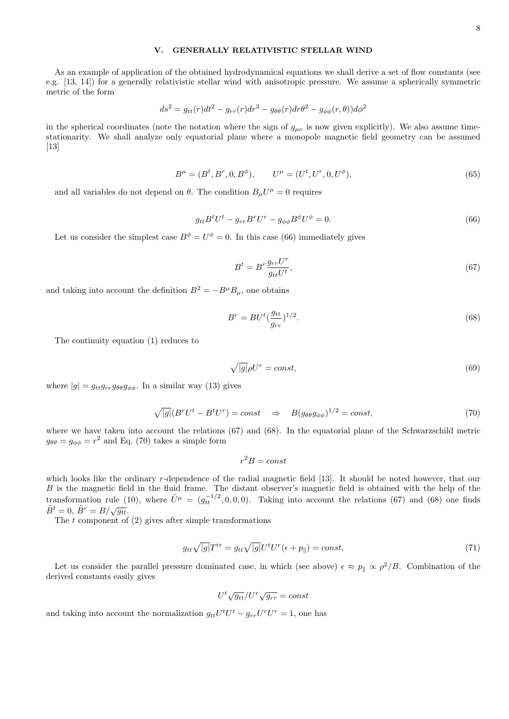## V. GENERALLY RELATIVISTIC STELLAR WIND

As an example of application of the obtained hydrodynamical equations we shall derive a set of flow constants (see e.g. [13, 14]) for a generally relativistic stellar wind with anisotropic pressure. We assume a spherically symmetric metric of the form

$$
ds^{2} = g_{tt}(r)dt^{2} - g_{rr}(r)dr^{2} - g_{\theta\theta}(r)dr\theta^{2} - g_{\phi\phi}(r,\theta))d\phi^{2}
$$

in the spherical coordinates (note the notation where the sign of  $g_{\mu\nu}$  is now given explicitly). We also assume timestationarity. We shall analyze only equatorial plane where a monopole magnetic field geometry can be assumed [13]

$$
B^{\mu} = (B^t, B^r, 0, B^{\phi}), \qquad U^{\mu} = (U^t, U^r, 0, U^{\phi}), \tag{65}
$$

and all variables do not depend on  $\theta$ . The condition  $B_{\mu}U^{\mu}=0$  requires

$$
g_{tt}B^tU^t - g_{rr}B^rU^r - g_{\phi\phi}B^{\phi}U^{\phi} = 0.
$$
\n
$$
(66)
$$

Let us consider the simplest case  $B^{\phi} = U^{\phi} = 0$ . In this case (66) immediately gives

$$
B^t = B^r \frac{g_{rr} U^r}{g_{tt} U^t},\tag{67}
$$

and taking into account the definition  $B^2 = -B^{\mu}B_{\mu}$ , one obtains

$$
B^r = B U^t \left(\frac{g_{tt}}{g_{rr}}\right)^{1/2}.
$$
\n(68)

The continuity equation (1) reduces to

$$
\sqrt{|g|}\rho U^r = const,\tag{69}
$$

where  $|g| = g_{tt}g_{rr}g_{\theta\theta}g_{\phi\phi}$ . In a similar way (13) gives

$$
\sqrt{|g|}(B^r U^t - B^t U^r) = const \quad \Rightarrow \quad B(g_{\theta\theta} g_{\phi\phi})^{1/2} = const,
$$
\n(70)

where we have taken into account the relations (67) and (68). In the equatorial plane of the Schwarzschild metric  $g_{\theta\theta} = g_{\phi\phi} = r^2$  and Eq. (70) takes a simple form

$$
r^2B = const
$$

which looks like the ordinary r-dependence of the radial magnetic field [13]. It should be noted however, that our B is the magnetic field in the fluid frame. The distant observer's magnetic field is obtained with the help of the transformation rule (10), where  $\tilde{U}^{\mu} = (g_{tt}^{-1/2}, 0, 0, 0)$ . Taking into account the relations (67) and (68) one finds  $\tilde{B}^t = 0$ ,  $\tilde{B}^r = B/\sqrt{g_{tt}}$ .

The  $t$  component of (2) gives after simple transformations

$$
g_{tt}\sqrt{|g|}T^{tr} = g_{tt}\sqrt{|g|}U^tU^r(\epsilon + p_{\parallel}) = const,
$$
\n(71)

Let us consider the parallel pressure dominated case, in which (see above)  $\epsilon \approx p_{\parallel} \propto \rho^2/B$ . Combination of the derived constants easily gives

$$
U^t \sqrt{g_{tt}} / U^r \sqrt{g_{rr}} = const
$$

and taking into account the normalization  $g_{tt}U^tU^t - g_{rr}U^rU^r = 1$ , one has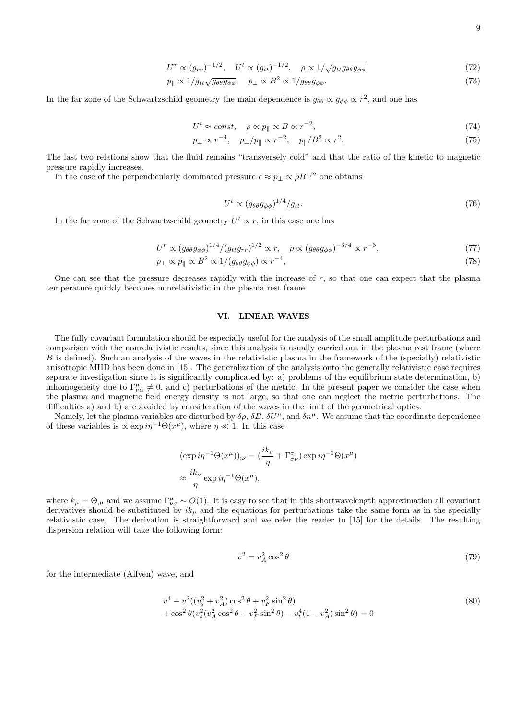$$
9\,
$$

$$
U^{r} \propto (g_{rr})^{-1/2}, \quad U^{t} \propto (g_{tt})^{-1/2}, \quad \rho \propto 1/\sqrt{g_{tt}g_{\theta\theta}g_{\phi\phi}}, \tag{72}
$$

$$
p_{\parallel} \propto 1/g_{tt}\sqrt{g_{\theta\theta}g_{\phi\phi}}, \quad p_{\perp} \propto B^2 \propto 1/g_{\theta\theta}g_{\phi\phi}.\tag{73}
$$

In the far zone of the Schwartzschild geometry the main dependence is  $g_{\theta\theta} \propto g_{\phi\phi} \propto r^2$ , and one has

$$
U^t \approx const, \quad \rho \propto p_{\parallel} \propto B \propto r^{-2},\tag{74}
$$

$$
p_{\perp} \propto r^{-4}, \quad p_{\perp}/p_{\parallel} \propto r^{-2}, \quad p_{\parallel}/B^2 \propto r^2. \tag{75}
$$

The last two relations show that the fluid remains "transversely cold" and that the ratio of the kinetic to magnetic pressure rapidly increases.

In the case of the perpendicularly dominated pressure  $\epsilon \approx p_\perp \propto \rho B^{1/2}$  one obtains

$$
U^t \propto (g_{\theta\theta}g_{\phi\phi})^{1/4}/g_{tt}.\tag{76}
$$

In the far zone of the Schwartzschild geometry  $U^t \propto r$ , in this case one has

$$
U^{r} \propto (g_{\theta\theta}g_{\phi\phi})^{1/4}/(g_{tt}g_{rr})^{1/2} \propto r, \quad \rho \propto (g_{\theta\theta}g_{\phi\phi})^{-3/4} \propto r^{-3}, \tag{77}
$$

$$
p_{\perp} \propto p_{\parallel} \propto B^2 \propto 1/(g_{\theta\theta}g_{\phi\phi}) \propto r^{-4},\tag{78}
$$

One can see that the pressure decreases rapidly with the increase of r, so that one can expect that the plasma temperature quickly becomes nonrelativistic in the plasma rest frame.

### VI. LINEAR WAVES

The fully covariant formulation should be especially useful for the analysis of the small amplitude perturbations and comparison with the nonrelativistic results, since this analysis is usually carried out in the plasma rest frame (where B is defined). Such an analysis of the waves in the relativistic plasma in the framework of the (specially) relativistic anisotropic MHD has been done in [15]. The generalization of the analysis onto the generally relativistic case requires separate investigation since it is significantly complicated by: a) problems of the equilibrium state determination, b) inhomogeneity due to  $\Gamma^{\mu}_{\nu\alpha}\neq 0$ , and c) perturbations of the metric. In the present paper we consider the case when the plasma and magnetic field energy density is not large, so that one can neglect the metric perturbations. The difficulties a) and b) are avoided by consideration of the waves in the limit of the geometrical optics.

Namely, let the plasma variables are disturbed by  $\delta \rho$ ,  $\delta B$ ,  $\delta U^{\mu}$ , and  $\delta n^{\mu}$ . We assume that the coordinate dependence of these variables is  $\propto \exp i\eta^{-1}\Theta(x^{\mu})$ , where  $\eta \ll 1$ . In this case

$$
(\exp i\eta^{-1}\Theta(x^{\mu}))_{;\nu} = (\frac{ik_{\nu}}{\eta} + \Gamma^{\sigma}_{\sigma\nu}) \exp i\eta^{-1}\Theta(x^{\mu})
$$
  

$$
\approx \frac{ik_{\nu}}{\eta} \exp i\eta^{-1}\Theta(x^{\mu}),
$$

where  $k_{\mu} = \Theta_{,\mu}$  and we assume  $\Gamma^{\mu}_{\nu\sigma} \sim O(1)$ . It is easy to see that in this shortwavelength approximation all covariant derivatives should be substituted by  $ik<sub>u</sub>$  and the equations for perturbations take the same form as in the specially relativistic case. The derivation is straightforward and we refer the reader to [15] for the details. The resulting dispersion relation will take the following form:

$$
v^2 = v_A^2 \cos^2 \theta \tag{79}
$$

for the intermediate (Alfven) wave, and

$$
v^4 - v^2((v_s^2 + v_A^2)\cos^2\theta + v_F^2\sin^2\theta) + \cos^2\theta(v_s^2(v_A^2\cos^2\theta + v_F^2\sin^2\theta) - v_t^4(1 - v_A^2)\sin^2\theta) = 0
$$
\n(80)